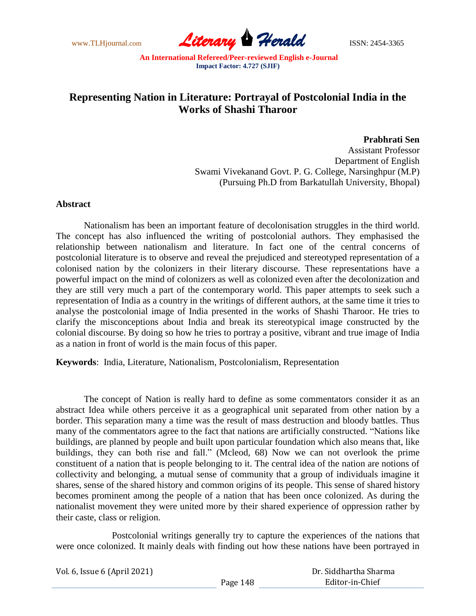www.TLHjournal.com *Literary Herald*ISSN: 2454-3365

## **Representing Nation in Literature: Portrayal of Postcolonial India in the Works of Shashi Tharoor**

**Prabhrati Sen**

Assistant Professor Department of English Swami Vivekanand Govt. P. G. College, Narsinghpur (M.P) (Pursuing Ph.D from Barkatullah University, Bhopal)

## **Abstract**

Nationalism has been an important feature of decolonisation struggles in the third world. The concept has also influenced the writing of postcolonial authors. They emphasised the relationship between nationalism and literature. In fact one of the central concerns of postcolonial literature is to observe and reveal the prejudiced and stereotyped representation of a colonised nation by the colonizers in their literary discourse. These representations have a powerful impact on the mind of colonizers as well as colonized even after the decolonization and they are still very much a part of the contemporary world. This paper attempts to seek such a representation of India as a country in the writings of different authors, at the same time it tries to analyse the postcolonial image of India presented in the works of Shashi Tharoor. He tries to clarify the misconceptions about India and break its stereotypical image constructed by the colonial discourse. By doing so how he tries to portray a positive, vibrant and true image of India as a nation in front of world is the main focus of this paper.

**Keywords**: India, Literature, Nationalism, Postcolonialism, Representation

The concept of Nation is really hard to define as some commentators consider it as an abstract Idea while others perceive it as a geographical unit separated from other nation by a border. This separation many a time was the result of mass destruction and bloody battles. Thus many of the commentators agree to the fact that nations are artificially constructed. "Nations like buildings, are planned by people and built upon particular foundation which also means that, like buildings, they can both rise and fall." (Mcleod, 68) Now we can not overlook the prime constituent of a nation that is people belonging to it. The central idea of the nation are notions of collectivity and belonging, a mutual sense of community that a group of individuals imagine it shares, sense of the shared history and common origins of its people. This sense of shared history becomes prominent among the people of a nation that has been once colonized. As during the nationalist movement they were united more by their shared experience of oppression rather by their caste, class or religion.

Postcolonial writings generally try to capture the experiences of the nations that were once colonized. It mainly deals with finding out how these nations have been portrayed in

| Vol. 6, Issue 6 (April 2021) |          | Dr. Siddhartha Sharma |  |
|------------------------------|----------|-----------------------|--|
|                              | Page 148 | Editor-in-Chief       |  |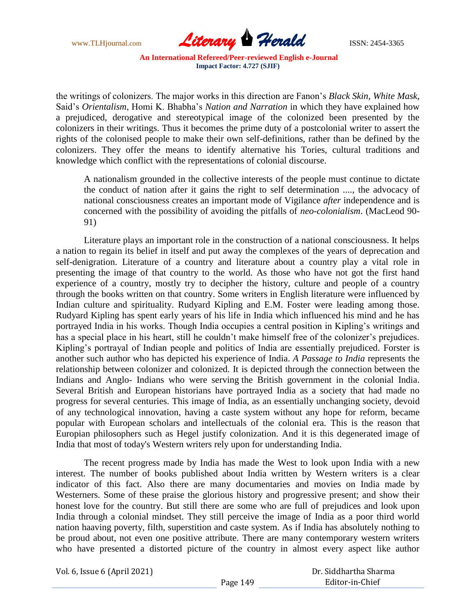

the writings of colonizers. The major works in this direction are Fanon"s *Black Skin, White Mask*, Said"s *Orientalism*, Homi K. Bhabha"s *Nation and Narration* in which they have explained how a prejudiced, derogative and stereotypical image of the colonized been presented by the colonizers in their writings. Thus it becomes the prime duty of a postcolonial writer to assert the rights of the colonised people to make their own self-definitions, rather than be defined by the colonizers. They offer the means to identify alternative his Tories, cultural traditions and knowledge which conflict with the representations of colonial discourse.

A nationalism grounded in the collective interests of the people must continue to dictate the conduct of nation after it gains the right to self determination ...., the advocacy of national consciousness creates an important mode of Vigilance *after* independence and is concerned with the possibility of avoiding the pitfalls of *neo-colonialism*. (MacLeod 90- 91)

Literature plays an important role in the construction of a national consciousness. It helps a nation to regain its belief in itself and put away the complexes of the years of deprecation and self-denigration. Literature of a country and literature about a country play a vital role in presenting the image of that country to the world. As those who have not got the first hand experience of a country, mostly try to decipher the history, culture and people of a country through the books written on that country. Some writers in English literature were influenced by Indian culture and spirituality. Rudyard Kipling and E.M. Foster were leading among those. Rudyard Kipling has spent early years of his life in India which influenced his mind and he has portrayed India in his works. Though India occupies a central position in Kipling"s writings and has a special place in his heart, still he couldn't make himself free of the colonizer's prejudices. Kipling"s portrayal of Indian people and politics of India are essentially prejudiced. Forster is another such author who has depicted his experience of India. *A Passage to India* represents the relationship between colonizer and colonized. It is depicted through the connection between the Indians and Anglo- Indians who were serving the British government in the colonial India. Several British and European historians have portrayed India as a society that had made no progress for several centuries. This image of India, as an essentially unchanging society, devoid of any technological innovation, having a caste system without any hope for reform, became popular with European scholars and intellectuals of the colonial era. This is the reason that Europian philosophers such as Hegel justify colonization. And it is this degenerated image of India that most of today's Western writers rely upon for understanding India.

The recent progress made by India has made the West to look upon India with a new interest. The number of books published about India written by Western writers is a clear indicator of this fact. Also there are many documentaries and movies on India made by Westerners. Some of these praise the glorious history and progressive present; and show their honest love for the country. But still there are some who are full of prejudices and look upon India through a colonial mindset. They still perceive the image of India as a poor third world nation haaving poverty, filth, superstition and caste system. As if India has absolutely nothing to be proud about, not even one positive attribute. There are many contemporary western writers who have presented a distorted picture of the country in almost every aspect like author

| Vol. 6, Issue 6 (April 2021) |          | Dr. Siddhartha Sharma |
|------------------------------|----------|-----------------------|
|                              | Page 149 | Editor-in-Chief       |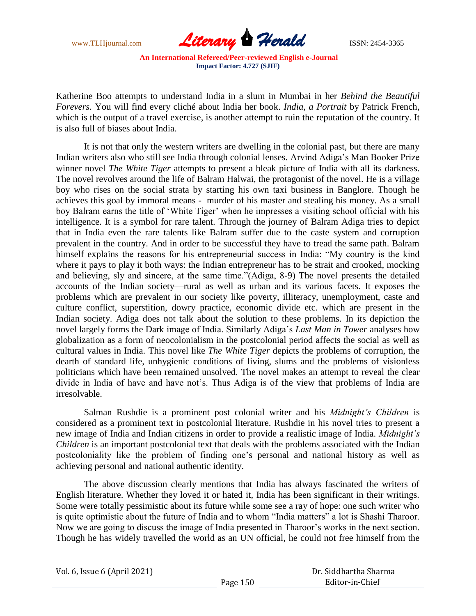

Katherine Boo attempts to understand India in a slum in Mumbai in her *Behind the Beautiful Forevers*. You will find every cliché about India her book. *India, a Portrait* by Patrick French, which is the output of a travel exercise, is another attempt to ruin the reputation of the country. It is also full of biases about India.

It is not that only the western writers are dwelling in the colonial past, but there are many Indian writers also who still see India through colonial lenses. Arvind Adiga"s Man Booker Prize winner novel *The White Tiger* attempts to present a bleak picture of India with all its darkness. The novel revolves around the life of Balram Halwai, the protagonist of the novel. He is a village boy who rises on the social strata by starting his own taxi business in Banglore. Though he achieves this goal by immoral means - murder of his master and stealing his money. As a small boy Balram earns the title of "White Tiger" when he impresses a visiting school official with his intelligence. It is a symbol for rare talent. Through the journey of Balram Adiga tries to depict that in India even the rare talents like Balram suffer due to the caste system and corruption prevalent in the country. And in order to be successful they have to tread the same path. Balram himself explains the reasons for his entrepreneurial success in India: "My country is the kind where it pays to play it both ways: the Indian entrepreneur has to be strait and crooked, mocking and believing, sly and sincere, at the same time."(Adiga, 8-9) The novel presents the detailed accounts of the Indian society—rural as well as urban and its various facets. It exposes the problems which are prevalent in our society like poverty, illiteracy, unemployment, caste and culture conflict, superstition, dowry practice, economic divide etc. which are present in the Indian society. Adiga does not talk about the solution to these problems. In its depiction the novel largely forms the Dark image of India. Similarly Adiga"s *Last Man in Tower* analyses how globalization as a form of neocolonialism in the postcolonial period affects the social as well as cultural values in India. This novel like *The White Tiger* depicts the problems of corruption, the dearth of standard life, unhygienic conditions of living, slums and the problems of visionless politicians which have been remained unsolved. The novel makes an attempt to reveal the clear divide in India of have and have not's. Thus Adiga is of the view that problems of India are irresolvable.

Salman Rushdie is a prominent post colonial writer and his *Midnight's Children* is considered as a prominent text in postcolonial literature. Rushdie in his novel tries to present a new image of India and Indian citizens in order to provide a realistic image of India. *Midnight's Children* is an important postcolonial text that deals with the problems associated with the Indian postcoloniality like the problem of finding one"s personal and national history as well as achieving personal and national authentic identity.

The above discussion clearly mentions that India has always fascinated the writers of English literature. Whether they loved it or hated it, India has been significant in their writings. Some were totally pessimistic about its future while some see a ray of hope: one such writer who is quite optimistic about the future of India and to whom "India matters" a lot is Shashi Tharoor. Now we are going to discuss the image of India presented in Tharoor"s works in the next section. Though he has widely travelled the world as an UN official, he could not free himself from the

| Vol. 6, Issue 6 (April 2021) | Dr. Siddhartha Sharma |                 |  |
|------------------------------|-----------------------|-----------------|--|
|                              | Page 150              | Editor-in-Chief |  |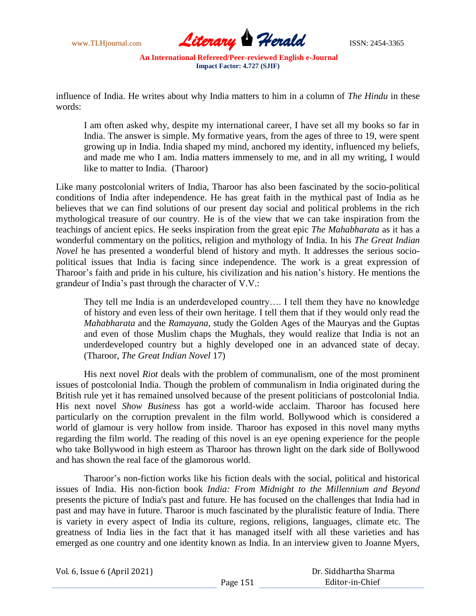

influence of India. He writes about why India matters to him in a column of *The Hindu* in these words:

I am often asked why, despite my international career, I have set all my books so far in India. The answer is simple. My formative years, from the ages of three to 19, were spent growing up in India. India shaped my mind, anchored my identity, influenced my beliefs, and made me who I am. India matters immensely to me, and in all my writing, I would like to matter to India. (Tharoor)

Like many postcolonial writers of India, Tharoor has also been fascinated by the socio-political conditions of India after independence. He has great faith in the mythical past of India as he believes that we can find solutions of our present day social and political problems in the rich mythological treasure of our country. He is of the view that we can take inspiration from the teachings of ancient epics. He seeks inspiration from the great epic *The Mahabharata* as it has a wonderful commentary on the politics, religion and mythology of India. In his *The Great Indian Novel* he has presented a wonderful blend of history and myth. It addresses the serious sociopolitical issues that India is facing since independence. The work is a great expression of Tharoor"s faith and pride in his culture, his civilization and his nation"s history. He mentions the grandeur of India"s past through the character of V.V.:

They tell me India is an underdeveloped country…. I tell them they have no knowledge of history and even less of their own heritage. I tell them that if they would only read the *Mahabharata* and the *Ramayana*, study the Golden Ages of the Mauryas and the Guptas and even of those Muslim chaps the Mughals, they would realize that India is not an underdeveloped country but a highly developed one in an advanced state of decay. (Tharoor, *The Great Indian Novel* 17)

His next novel *Riot* deals with the problem of communalism, one of the most prominent issues of postcolonial India. Though the problem of communalism in India originated during the British rule yet it has remained unsolved because of the present politicians of postcolonial India. His next novel *Show Business* has got a world-wide acclaim*.* Tharoor has focused here particularly on the corruption prevalent in the film world. Bollywood which is considered a world of glamour is very hollow from inside. Tharoor has exposed in this novel many myths regarding the film world. The reading of this novel is an eye opening experience for the people who take Bollywood in high esteem as Tharoor has thrown light on the dark side of Bollywood and has shown the real face of the glamorous world.

Tharoor"s non-fiction works like his fiction deals with the social, political and historical issues of India. His non-fiction book *India: From Midnight to the Millennium and Beyond* presents the picture of India's past and future. He has focused on the challenges that India had in past and may have in future. Tharoor is much fascinated by the pluralistic feature of India. There is variety in every aspect of India its culture, regions, religions, languages, climate etc. The greatness of India lies in the fact that it has managed itself with all these varieties and has emerged as one country and one identity known as India. In an interview given to Joanne Myers,

| Vol. 6, Issue 6 (April 2021) |          | Dr. Siddhartha Sharma |
|------------------------------|----------|-----------------------|
|                              | Page 151 | Editor-in-Chief       |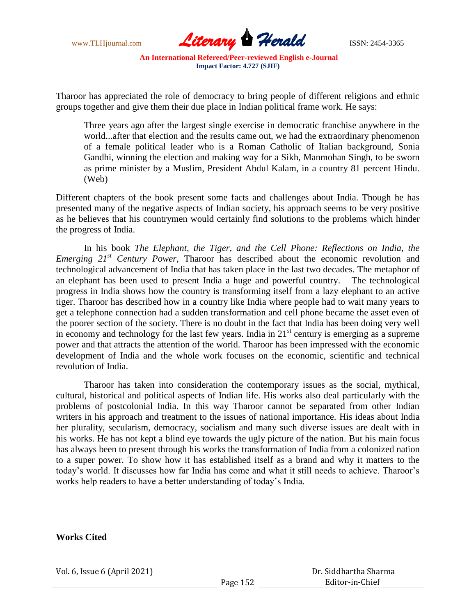

Tharoor has appreciated the role of democracy to bring people of different religions and ethnic groups together and give them their due place in Indian political frame work. He says:

Three years ago after the largest single exercise in democratic franchise anywhere in the world...after that election and the results came out, we had the extraordinary phenomenon of a female political leader who is a Roman Catholic of Italian background, Sonia Gandhi, winning the election and making way for a Sikh, Manmohan Singh, to be sworn as prime minister by a Muslim, President Abdul Kalam, in a country 81 percent Hindu. (Web)

Different chapters of the book present some facts and challenges about India. Though he has presented many of the negative aspects of Indian society, his approach seems to be very positive as he believes that his countrymen would certainly find solutions to the problems which hinder the progress of India.

In his book *The Elephant, the Tiger, and the Cell Phone: Reflections on India, the Emerging 21st Century Power,* Tharoor has described about the economic revolution and technological advancement of India that has taken place in the last two decades. The metaphor of an elephant has been used to present India a huge and powerful country. The technological progress in India shows how the country is transforming itself from a lazy elephant to an active tiger. Tharoor has described how in a country like India where people had to wait many years to get a telephone connection had a sudden transformation and cell phone became the asset even of the poorer section of the society. There is no doubt in the fact that India has been doing very well in economy and technology for the last few years. India in  $21<sup>st</sup>$  century is emerging as a supreme power and that attracts the attention of the world. Tharoor has been impressed with the economic development of India and the whole work focuses on the economic, scientific and technical revolution of India.

Tharoor has taken into consideration the contemporary issues as the social, mythical, cultural, historical and political aspects of Indian life. His works also deal particularly with the problems of postcolonial India. In this way Tharoor cannot be separated from other Indian writers in his approach and treatment to the issues of national importance. His ideas about India her plurality, secularism, democracy, socialism and many such diverse issues are dealt with in his works. He has not kept a blind eye towards the ugly picture of the nation. But his main focus has always been to present through his works the transformation of India from a colonized nation to a super power. To show how it has established itself as a brand and why it matters to the today's world. It discusses how far India has come and what it still needs to achieve. Tharoor's works help readers to have a better understanding of today"s India.

## **Works Cited**

Vol. 6, Issue 6 (April 2021)